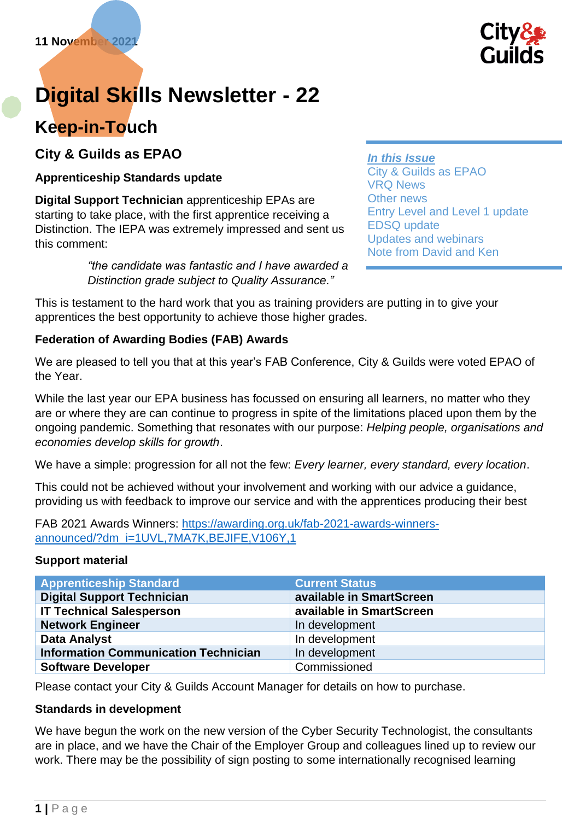

# **Digital Skills Newsletter - 22**

# **Keep-in-Touch**

**City & Guilds as EPAO**

# **Apprenticeship Standards update**

**Digital Support Technician** apprenticeship EPAs are starting to take place, with the first apprentice receiving a Distinction. The IEPA was extremely impressed and sent us this comment:

> *"the candidate was fantastic and I have awarded a Distinction grade subject to Quality Assurance."*

*In this Issue* City & Guilds as EPAO VRQ News Other news Entry Level and Level 1 update EDSQ update Updates and webinars Note from David and Ken

This is testament to the hard work that you as training providers are putting in to give your apprentices the best opportunity to achieve those higher grades.

# **Federation of Awarding Bodies (FAB) Awards**

We are pleased to tell you that at this year's FAB Conference, City & Guilds were voted EPAO of the Year.

While the last year our EPA business has focussed on ensuring all learners, no matter who they are or where they are can continue to progress in spite of the limitations placed upon them by the ongoing pandemic. Something that resonates with our purpose: *Helping people, organisations and economies develop skills for growth*.

We have a simple: progression for all not the few: *Every learner, every standard, every location*.

This could not be achieved without your involvement and working with our advice a guidance, providing us with feedback to improve our service and with the apprentices producing their best

FAB 2021 Awards Winners: [https://awarding.org.uk/fab-2021-awards-winners](https://awarding.org.uk/fab-2021-awards-winners-announced/?dm_i=1UVL,7MA7K,BEJIFE,V106Y,1)[announced/?dm\\_i=1UVL,7MA7K,BEJIFE,V106Y,1](https://awarding.org.uk/fab-2021-awards-winners-announced/?dm_i=1UVL,7MA7K,BEJIFE,V106Y,1)

#### **Support material**

| <b>Apprenticeship Standard</b>              | <b>Current Status</b>    |
|---------------------------------------------|--------------------------|
| <b>Digital Support Technician</b>           | available in SmartScreen |
| <b>IT Technical Salesperson</b>             | available in SmartScreen |
| <b>Network Engineer</b>                     | In development           |
| <b>Data Analyst</b>                         | In development           |
| <b>Information Communication Technician</b> | In development           |
| <b>Software Developer</b>                   | Commissioned             |

Please contact your City & Guilds Account Manager for details on how to purchase.

#### **Standards in development**

We have begun the work on the new version of the Cyber Security Technologist, the consultants are in place, and we have the Chair of the Employer Group and colleagues lined up to review our work. There may be the possibility of sign posting to some internationally recognised learning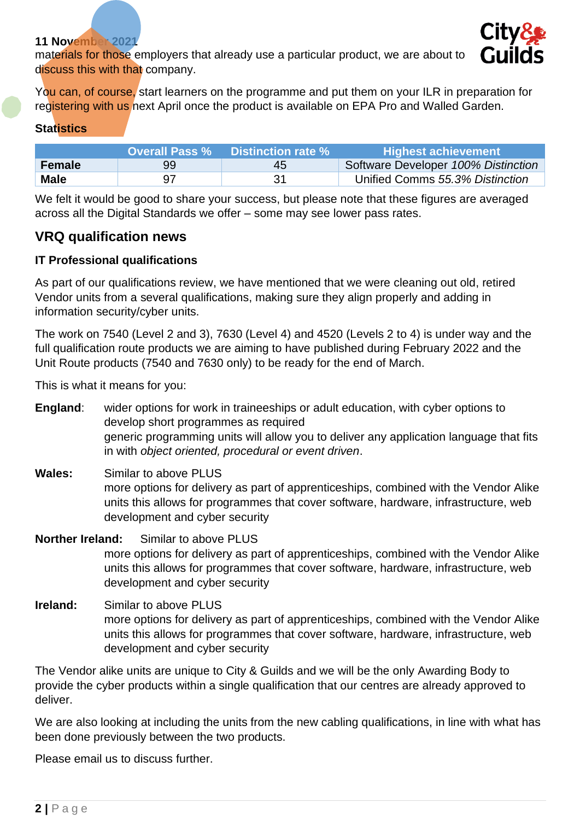#### **11 November 2021**

materials for those employers that already use a particular product, we are about to discuss this with that company.



You can, of course, start learners on the programme and put them on your ILR in preparation for registering with us next April once the product is available on EPA Pro and Walled Garden.

#### **Statistics**

|               | <b>Overall Pass %</b> | <b>Distinction rate %</b> | <b>Highest achievement</b>          |
|---------------|-----------------------|---------------------------|-------------------------------------|
| <b>Female</b> | 99                    | 45                        | Software Developer 100% Distinction |
| <b>Male</b>   | 97                    |                           | Unified Comms 55.3% Distinction     |

We felt it would be good to share your success, but please note that these figures are averaged across all the Digital Standards we offer – some may see lower pass rates.

# **VRQ qualification news**

#### **IT Professional qualifications**

As part of our qualifications review, we have mentioned that we were cleaning out old, retired Vendor units from a several qualifications, making sure they align properly and adding in information security/cyber units.

The work on 7540 (Level 2 and 3), 7630 (Level 4) and 4520 (Levels 2 to 4) is under way and the full qualification route products we are aiming to have published during February 2022 and the Unit Route products (7540 and 7630 only) to be ready for the end of March.

This is what it means for you:

**England**: wider options for work in traineeships or adult education, with cyber options to develop short programmes as required generic programming units will allow you to deliver any application language that fits in with *object oriented, procedural or event driven*.

**Wales:** Similar to above PLUS more options for delivery as part of apprenticeships, combined with the Vendor Alike units this allows for programmes that cover software, hardware, infrastructure, web development and cyber security

# **Norther Ireland:** Similar to above PLUS more options for delivery as part of apprenticeships, combined with the Vendor Alike units this allows for programmes that cover software, hardware, infrastructure, web development and cyber security

**Ireland:** Similar to above PLUS more options for delivery as part of apprenticeships, combined with the Vendor Alike units this allows for programmes that cover software, hardware, infrastructure, web development and cyber security

The Vendor alike units are unique to City & Guilds and we will be the only Awarding Body to provide the cyber products within a single qualification that our centres are already approved to deliver.

We are also looking at including the units from the new cabling qualifications, in line with what has been done previously between the two products.

Please email us to discuss further.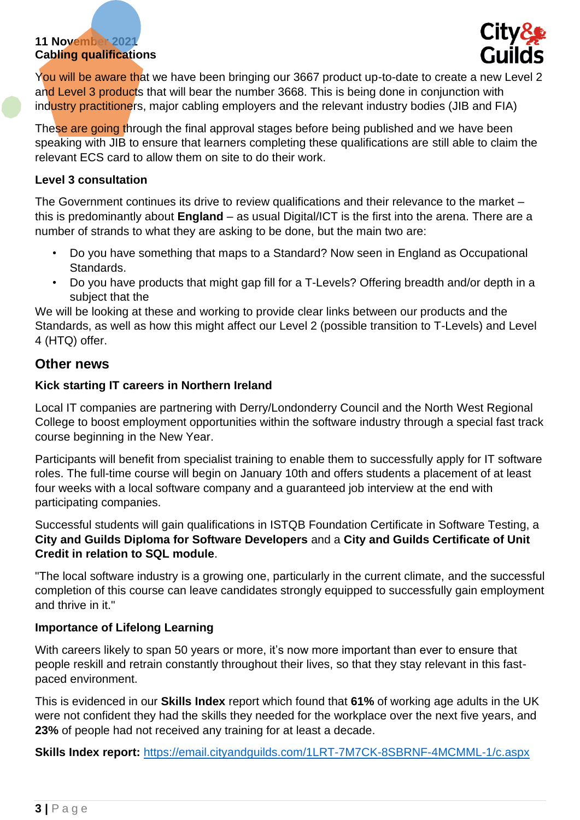# **11 November 2021 Cabling qualifications**



You will be aware that we have been bringing our 3667 product up-to-date to create a new Level 2 and Level 3 products that will bear the number 3668. This is being done in conjunction with industry practitioners, major cabling employers and the relevant industry bodies (JIB and FIA)

These are going through the final approval stages before being published and we have been speaking with JIB to ensure that learners completing these qualifications are still able to claim the relevant ECS card to allow them on site to do their work.

#### **Level 3 consultation**

The Government continues its drive to review qualifications and their relevance to the market – this is predominantly about **England** – as usual Digital/ICT is the first into the arena. There are a number of strands to what they are asking to be done, but the main two are:

- Do you have something that maps to a Standard? Now seen in England as Occupational Standards.
- Do you have products that might gap fill for a T-Levels? Offering breadth and/or depth in a subject that the

We will be looking at these and working to provide clear links between our products and the Standards, as well as how this might affect our Level 2 (possible transition to T-Levels) and Level 4 (HTQ) offer.

# **Other news**

#### **Kick starting IT careers in Northern Ireland**

Local IT companies are partnering with Derry/Londonderry Council and the North West Regional College to boost employment opportunities within the software industry through a special fast track course beginning in the New Year.

Participants will benefit from specialist training to enable them to successfully apply for IT software roles. The full-time course will begin on January 10th and offers students a placement of at least four weeks with a local software company and a guaranteed job interview at the end with participating companies.

Successful students will gain qualifications in ISTQB Foundation Certificate in Software Testing, a **City and Guilds Diploma for Software Developers** and a **City and Guilds Certificate of Unit Credit in relation to SQL module**.

"The local software industry is a growing one, particularly in the current climate, and the successful completion of this course can leave candidates strongly equipped to successfully gain employment and thrive in it."

#### **Importance of Lifelong Learning**

With careers likely to span 50 years or more, it's now more important than ever to ensure that people reskill and retrain constantly throughout their lives, so that they stay relevant in this fastpaced environment.

This is evidenced in our **Skills Index** report which found that **61%** of working age adults in the UK were not confident they had the skills they needed for the workplace over the next five years, and **23%** of people had not received any training for at least a decade.

**Skills Index report:** <https://email.cityandguilds.com/1LRT-7M7CK-8SBRNF-4MCMML-1/c.aspx>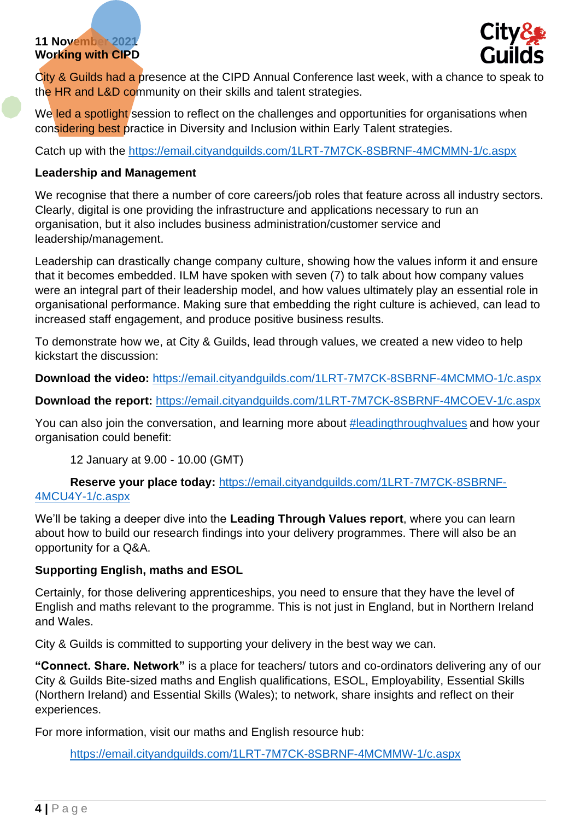# **11 November 2021 Working with CIPD**



City & Guilds had a presence at the CIPD Annual Conference last week, with a chance to speak to the HR and L&D community on their skills and talent strategies.

We led a spotlight session to reflect on the challenges and opportunities for organisations when considering best practice in Diversity and Inclusion within Early Talent strategies.

Catch up with the<https://email.cityandguilds.com/1LRT-7M7CK-8SBRNF-4MCMMN-1/c.aspx>

# **Leadership and Management**

We recognise that there a number of core careers/job roles that feature across all industry sectors. Clearly, digital is one providing the infrastructure and applications necessary to run an organisation, but it also includes business administration/customer service and leadership/management.

Leadership can drastically change company culture, showing how the values inform it and ensure that it becomes embedded. ILM have spoken with seven (7) to talk about how company values were an integral part of their leadership model, and how values ultimately play an essential role in organisational performance. Making sure that embedding the right culture is achieved, can lead to increased staff engagement, and produce positive business results.

To demonstrate how we, at City & Guilds, lead through values, we created a new video to help kickstart the discussion:

**Download the video:** <https://email.cityandguilds.com/1LRT-7M7CK-8SBRNF-4MCMMO-1/c.aspx>

**Download the report:** <https://email.cityandguilds.com/1LRT-7M7CK-8SBRNF-4MCOEV-1/c.aspx>

You can also join the conversation, and learning more about [#leadingthroughvalues](https://email.cityandguilds.com/1LRT-7M7CK-8SBRNF-4MCMMR-1/c.aspx) and how your organisation could benefit:

12 January at 9.00 - 10.00 (GMT)

**Reserve your place today:** [https://email.cityandguilds.com/1LRT-7M7CK-8SBRNF-](https://email.cityandguilds.com/1LRT-7M7CK-8SBRNF-4MCU4Y-1/c.aspx)[4MCU4Y-1/c.aspx](https://email.cityandguilds.com/1LRT-7M7CK-8SBRNF-4MCU4Y-1/c.aspx)

We'll be taking a deeper dive into the **Leading Through Values report**, where you can learn about how to build our research findings into your delivery programmes. There will also be an opportunity for a Q&A.

# **Supporting English, maths and ESOL**

Certainly, for those delivering apprenticeships, you need to ensure that they have the level of English and maths relevant to the programme. This is not just in England, but in Northern Ireland and Wales.

City & Guilds is committed to supporting your delivery in the best way we can.

**"Connect. Share. Network"** is a place for teachers/ tutors and co-ordinators delivering any of our City & Guilds Bite-sized maths and English qualifications, ESOL, Employability, Essential Skills (Northern Ireland) and Essential Skills (Wales); to network, share insights and reflect on their experiences.

For more information, visit our maths and English resource hub:

<https://email.cityandguilds.com/1LRT-7M7CK-8SBRNF-4MCMMW-1/c.aspx>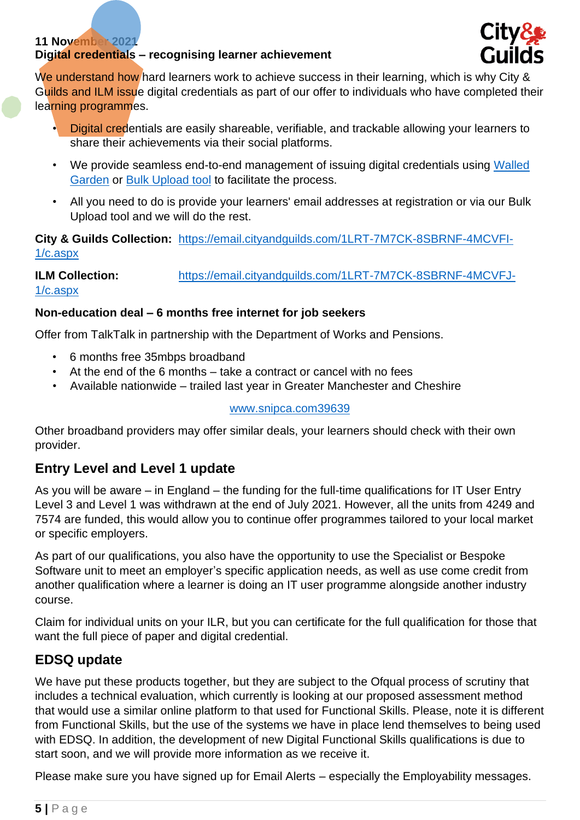# **11 November 2021**

# **Digital credentials – recognising learner achievement**



We understand how hard learners work to achieve success in their learning, which is why City & Guilds and ILM issue digital credentials as part of our offer to individuals who have completed their learning programmes.

- Digital credentials are easily shareable, verifiable, and trackable allowing your learners to share their achievements via their social platforms.
- We provide seamless end-to-end management of issuing digital credentials using [Walled](https://email.cityandguilds.com/1LRT-7M7CK-8SBRNF-4MCMMZ-1/c.aspx)  [Garden](https://email.cityandguilds.com/1LRT-7M7CK-8SBRNF-4MCMMZ-1/c.aspx) or [Bulk Upload tool](https://email.cityandguilds.com/1LRT-7M7CK-8SBRNF-4MCMN0-1/c.aspx) to facilitate the process.
- All you need to do is provide your learners' email addresses at registration or via our Bulk Upload tool and we will do the rest.

**City & Guilds Collection:** [https://email.cityandguilds.com/1LRT-7M7CK-8SBRNF-4MCVFI-](https://email.cityandguilds.com/1LRT-7M7CK-8SBRNF-4MCVFI-1/c.aspx)[1/c.aspx](https://email.cityandguilds.com/1LRT-7M7CK-8SBRNF-4MCVFI-1/c.aspx)

**ILM Collection:** [https://email.cityandguilds.com/1LRT-7M7CK-8SBRNF-4MCVFJ-](https://email.cityandguilds.com/1LRT-7M7CK-8SBRNF-4MCVFJ-1/c.aspx)[1/c.aspx](https://email.cityandguilds.com/1LRT-7M7CK-8SBRNF-4MCVFJ-1/c.aspx)

#### **Non-education deal – 6 months free internet for job seekers**

Offer from TalkTalk in partnership with the Department of Works and Pensions.

- 6 months free 35mbps broadband
- At the end of the 6 months take a contract or cancel with no fees
- Available nationwide trailed last year in Greater Manchester and Cheshire

#### [www.snipca.com39639](http://www.snipca.com39639/)

Other broadband providers may offer similar deals, your learners should check with their own provider.

# **Entry Level and Level 1 update**

As you will be aware – in England – the funding for the full-time qualifications for IT User Entry Level 3 and Level 1 was withdrawn at the end of July 2021. However, all the units from 4249 and 7574 are funded, this would allow you to continue offer programmes tailored to your local market or specific employers.

As part of our qualifications, you also have the opportunity to use the Specialist or Bespoke Software unit to meet an employer's specific application needs, as well as use come credit from another qualification where a learner is doing an IT user programme alongside another industry course.

Claim for individual units on your ILR, but you can certificate for the full qualification for those that want the full piece of paper and digital credential.

# **EDSQ update**

We have put these products together, but they are subject to the Ofqual process of scrutiny that includes a technical evaluation, which currently is looking at our proposed assessment method that would use a similar online platform to that used for Functional Skills. Please, note it is different from Functional Skills, but the use of the systems we have in place lend themselves to being used with EDSQ. In addition, the development of new Digital Functional Skills qualifications is due to start soon, and we will provide more information as we receive it.

Please make sure you have signed up for Email Alerts – especially the Employability messages.